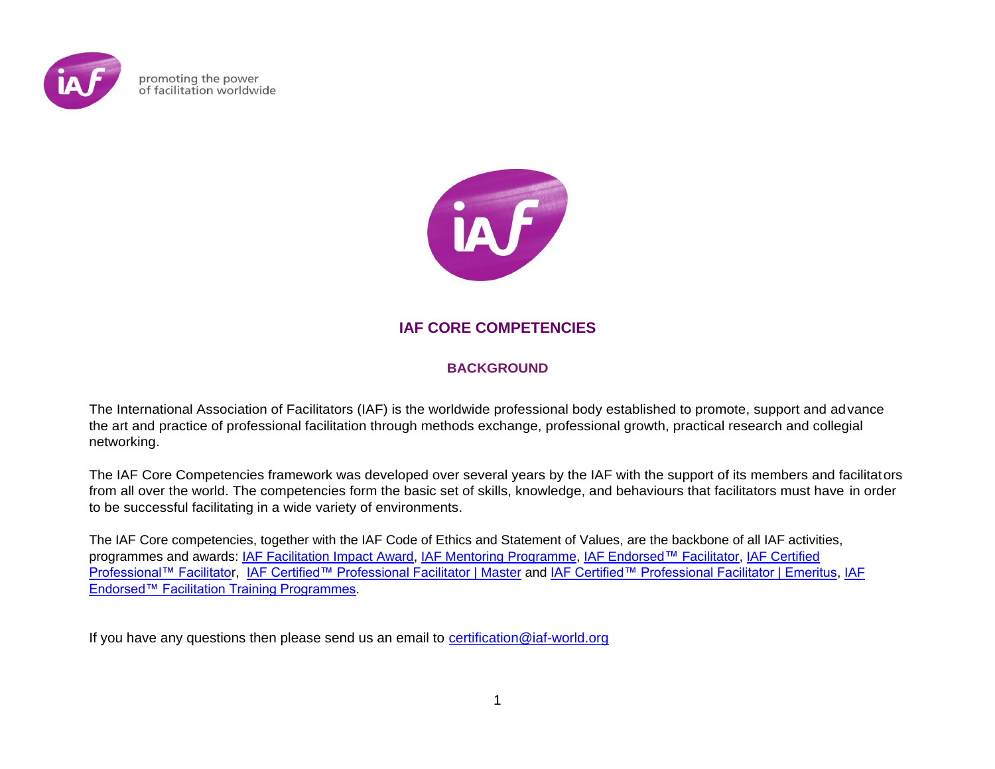

promoting the power of facilitation worldwide



# **IAF CORE COMPETENCIES**

## **BACKGROUND**

The International Association of Facilitators (IAF) is the worldwide professional body established to promote, support and advance the art and practice of professional facilitation through methods exchange, professional growth, practical research and collegial networking.

The IAF Core Competencies framework was developed over several years by the IAF with the support of its members and facilitators from all over the world. The competencies form the basic set of skills, knowledge, and behaviours that facilitators must have in order to be successful facilitating in a wide variety of environments.

The IAF Core competencies, together with the IAF Code of Ethics and Statement of Values, are the backbone of all IAF activities, programmes and awards: [IAF Facilitation Impact Award,](https://www.iaf-world.org/site/facilitation-impact-awards) [IAF Mentoring Programme,](https://www.iaf-world.org/site/mentoring-programme) [IAF Endorsed](https://www.iaf-world.org/site/pages/become-iaf-endorsed%E2%84%A2-facilitator)™ Facilitator, [IAF Certified](https://www.iaf-world.org/site/pages/become-iaf-certified%E2%84%A2-professional-facilitator)  [Professional™ Facilitator](https://www.iaf-world.org/site/pages/become-iaf-certified%E2%84%A2-professional-facilitator), [IAF Certified™ Professional Facilitator | Master](https://www.iaf-world.org/site/pages/iaf-certified%E2%84%A2-professional-facilitator-%C7%80-master) and [IAF Certified™ Professional Facilitator | Emeritus,](https://www.iaf-world.org/site/pages/iaf-certified%E2%84%A2-professional-facilitator-%C7%80-emeritus) [IAF](https://www.iaf-world.org/site/professional/endorsement)  [Endorsed™ Facilitation Training Programmes.](https://www.iaf-world.org/site/professional/endorsement)

If you have any questions then please send us an email to [certification@iaf-world.org](mailto:certification@iaf-world.org)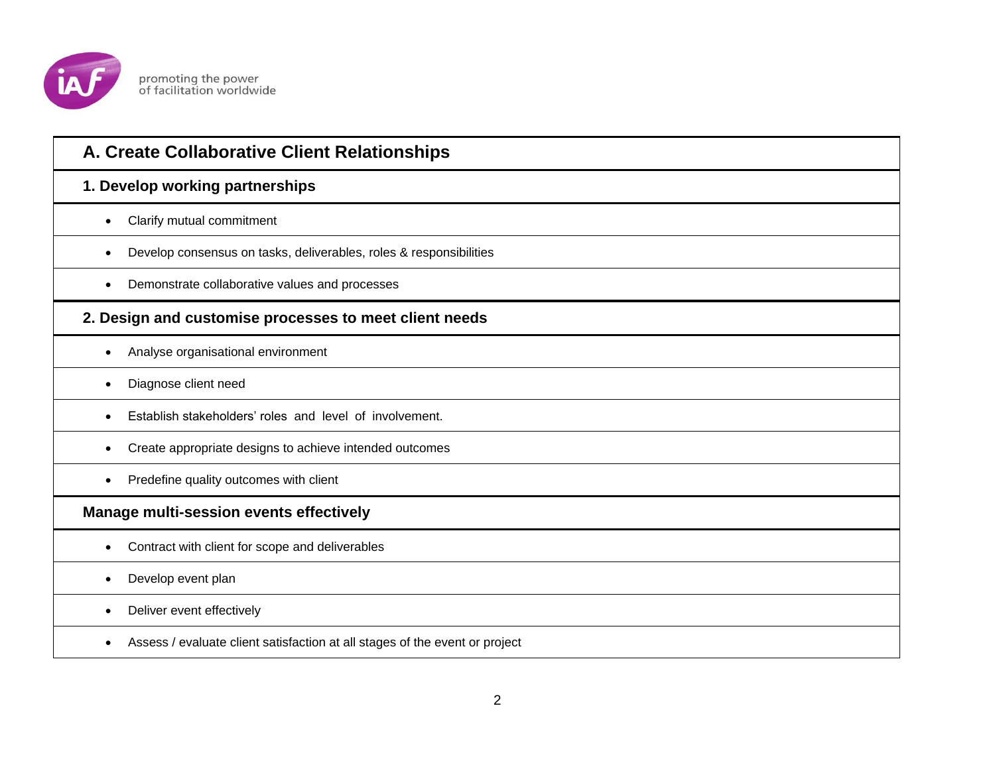

| A. Create Collaborative Client Relationships                                    |
|---------------------------------------------------------------------------------|
| 1. Develop working partnerships                                                 |
| Clarify mutual commitment                                                       |
| Develop consensus on tasks, deliverables, roles & responsibilities<br>$\bullet$ |
| Demonstrate collaborative values and processes                                  |
| 2. Design and customise processes to meet client needs                          |
| Analyse organisational environment                                              |
| Diagnose client need                                                            |
| Establish stakeholders' roles and level of involvement.                         |
| Create appropriate designs to achieve intended outcomes<br>$\bullet$            |
| Predefine quality outcomes with client                                          |
| Manage multi-session events effectively                                         |
| Contract with client for scope and deliverables                                 |
| Develop event plan                                                              |
| Deliver event effectively                                                       |
| Assess / evaluate client satisfaction at all stages of the event or project     |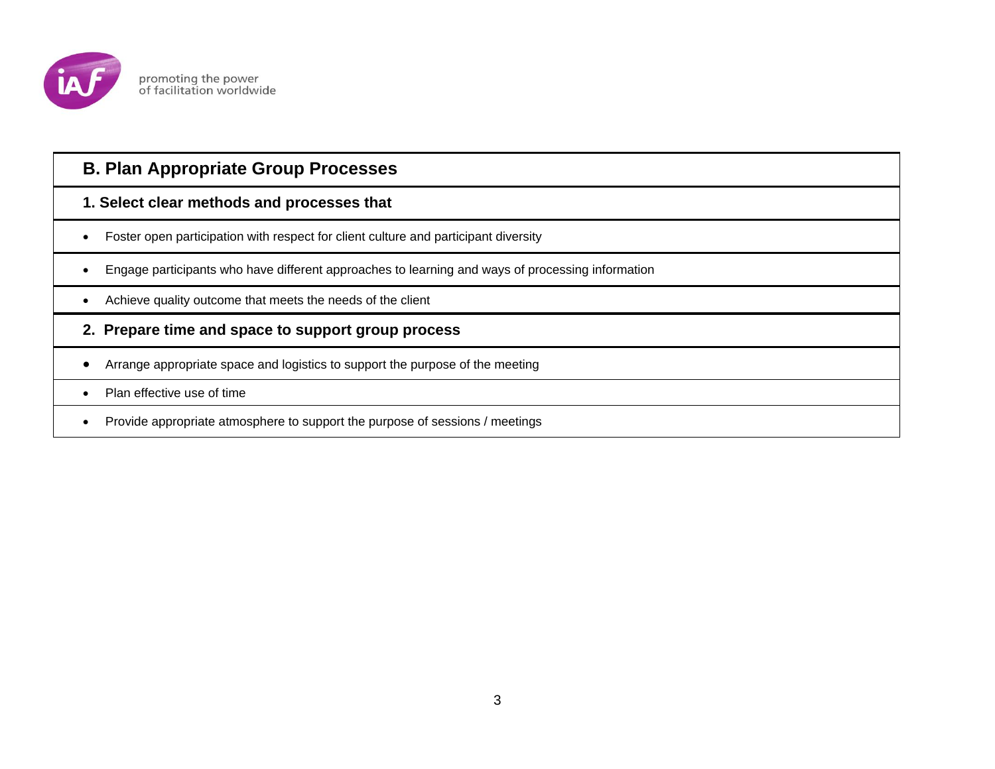

# **B. Plan Appropriate Group Processes**

# **1. Select clear methods and processes that**

- Foster open participation with respect for client culture and participant diversity
- Engage participants who have different approaches to learning and ways of processing information
- Achieve quality outcome that meets the needs of the client

#### **2. Prepare time and space to support group process**

- Arrange appropriate space and logistics to support the purpose of the meeting
- Plan effective use of time
- Provide appropriate atmosphere to support the purpose of sessions / meetings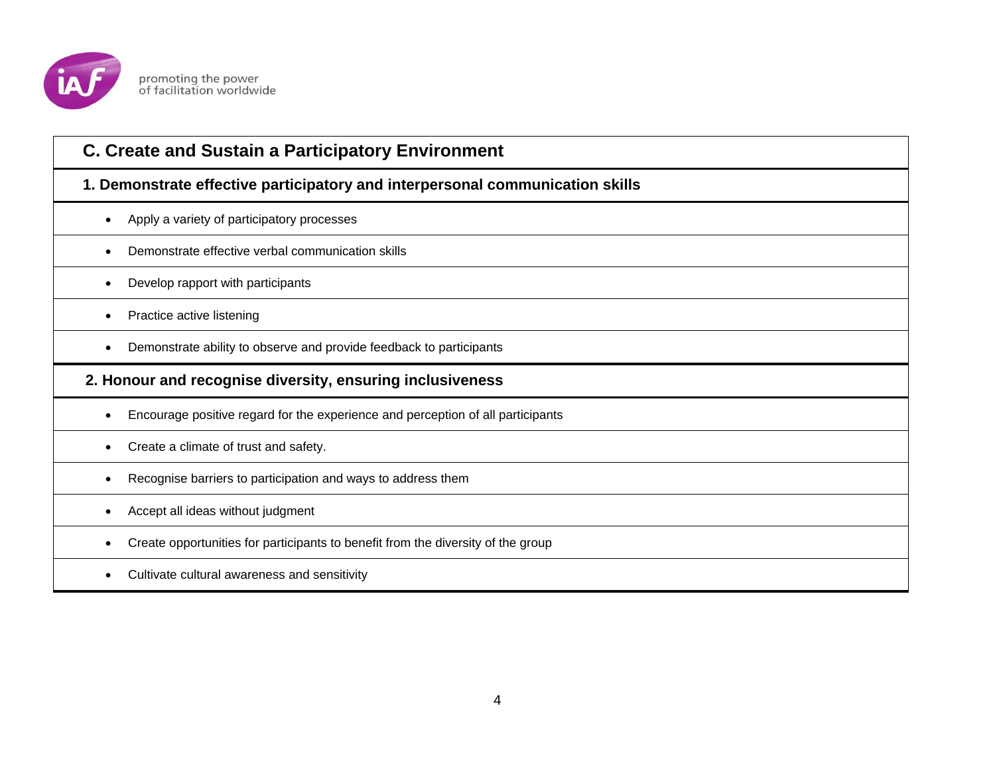

| <b>C. Create and Sustain a Participatory Environment</b>                         |
|----------------------------------------------------------------------------------|
| 1. Demonstrate effective participatory and interpersonal communication skills    |
| Apply a variety of participatory processes                                       |
| Demonstrate effective verbal communication skills                                |
| Develop rapport with participants                                                |
| Practice active listening                                                        |
| Demonstrate ability to observe and provide feedback to participants              |
|                                                                                  |
| 2. Honour and recognise diversity, ensuring inclusiveness                        |
| Encourage positive regard for the experience and perception of all participants  |
| Create a climate of trust and safety.                                            |
| Recognise barriers to participation and ways to address them                     |
| Accept all ideas without judgment                                                |
| Create opportunities for participants to benefit from the diversity of the group |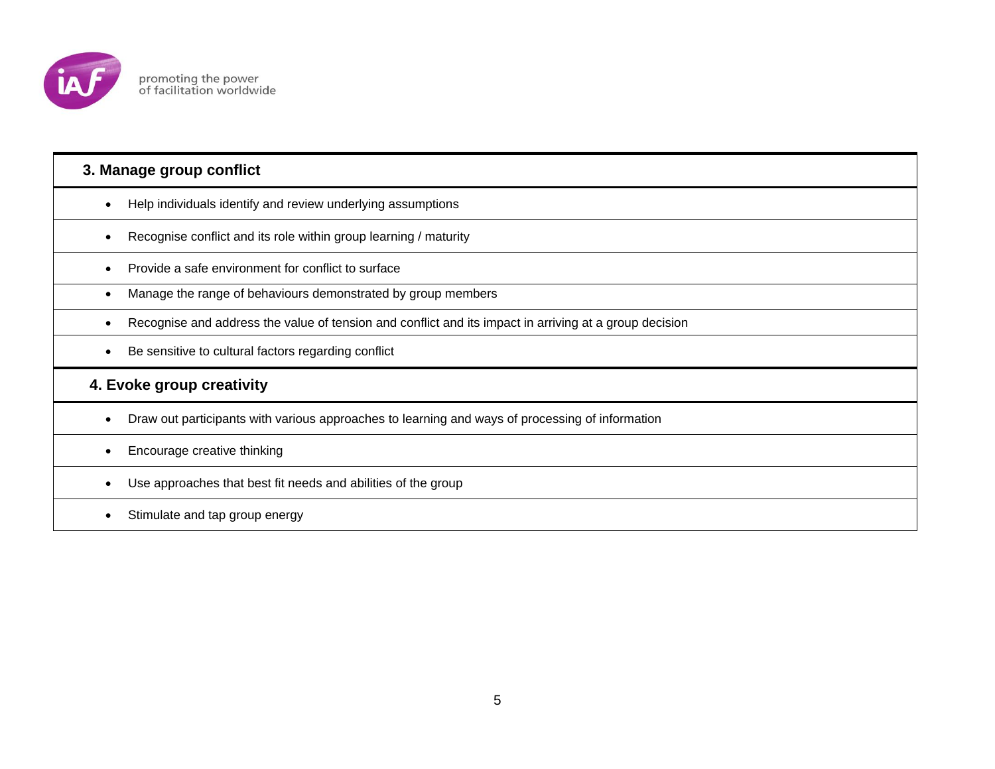

## **3. Manage group conflict**

- Help individuals identify and review underlying assumptions
- Recognise conflict and its role within group learning / maturity
- Provide a safe environment for conflict to surface
- Manage the range of behaviours demonstrated by group members
- Recognise and address the value of tension and conflict and its impact in arriving at a group decision
- Be sensitive to cultural factors regarding conflict

# **4. Evoke group creativity**

Draw out participants with various approaches to learning and ways of processing of information

#### • Encourage creative thinking

- Use approaches that best fit needs and abilities of the group
- Stimulate and tap group energy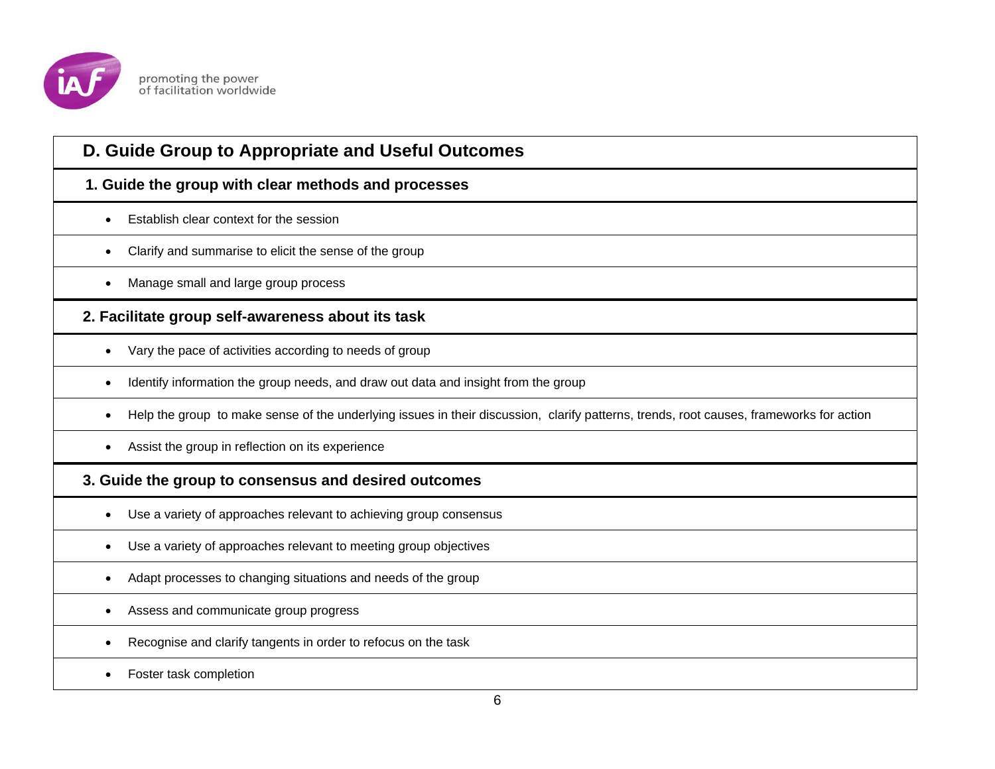

| D. Guide Group to Appropriate and Useful Outcomes                                                                                            |
|----------------------------------------------------------------------------------------------------------------------------------------------|
| 1. Guide the group with clear methods and processes                                                                                          |
| Establish clear context for the session<br>$\bullet$                                                                                         |
| Clarify and summarise to elicit the sense of the group<br>$\bullet$                                                                          |
| Manage small and large group process<br>٠                                                                                                    |
| 2. Facilitate group self-awareness about its task                                                                                            |
| Vary the pace of activities according to needs of group<br>$\bullet$                                                                         |
| Identify information the group needs, and draw out data and insight from the group<br>$\bullet$                                              |
| Help the group to make sense of the underlying issues in their discussion, clarify patterns, trends, root causes, frameworks for action<br>٠ |
| Assist the group in reflection on its experience                                                                                             |
| 3. Guide the group to consensus and desired outcomes                                                                                         |
| Use a variety of approaches relevant to achieving group consensus<br>$\bullet$                                                               |
| Use a variety of approaches relevant to meeting group objectives<br>$\bullet$                                                                |
| Adapt processes to changing situations and needs of the group<br>$\bullet$                                                                   |
| Assess and communicate group progress                                                                                                        |
| Recognise and clarify tangents in order to refocus on the task                                                                               |
| Foster task completion                                                                                                                       |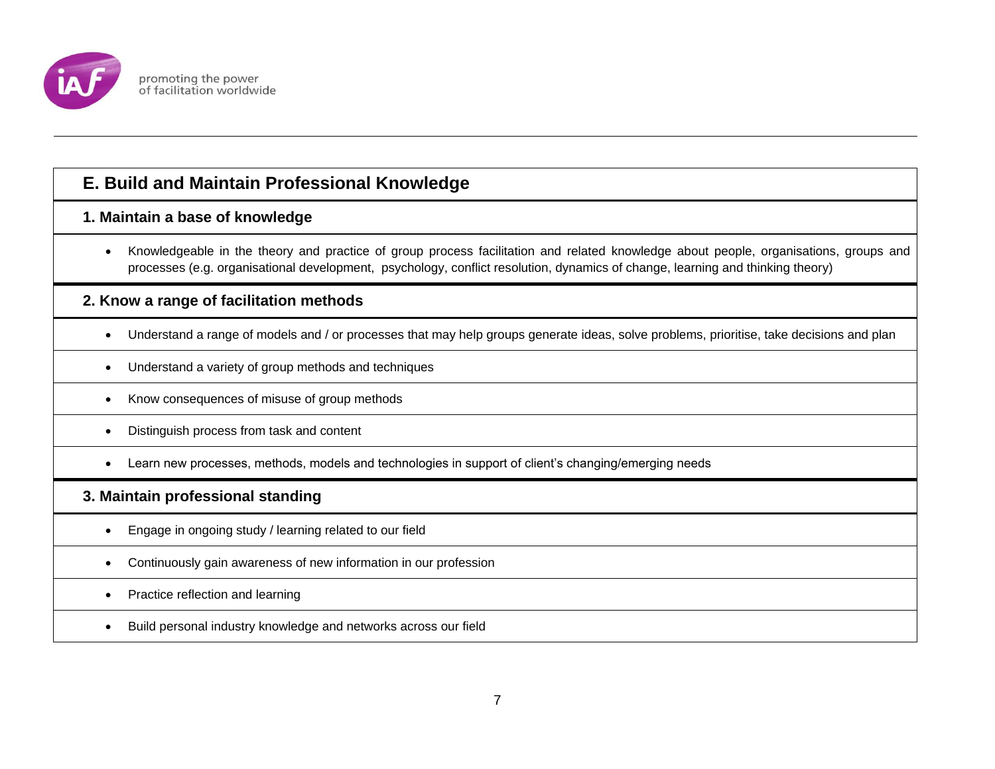

# **E. Build and Maintain Professional Knowledge**

#### **1. Maintain a base of knowledge**

 Knowledgeable in the theory and practice of group process facilitation and related knowledge about people, organisations, groups and processes (e.g. organisational development, psychology, conflict resolution, dynamics of change, learning and thinking theory)

## **2. Know a range of facilitation methods**

- Understand a range of models and / or processes that may help groups generate ideas, solve problems, prioritise, take decisions and plan
- Understand a variety of group methods and techniques
- Know consequences of misuse of group methods
- Distinguish process from task and content
- Learn new processes, methods, models and technologies in support of client's changing/emerging needs

#### **3. Maintain professional standing**

- Engage in ongoing study / learning related to our field
- Continuously gain awareness of new information in our profession
- Practice reflection and learning
- Build personal industry knowledge and networks across our field